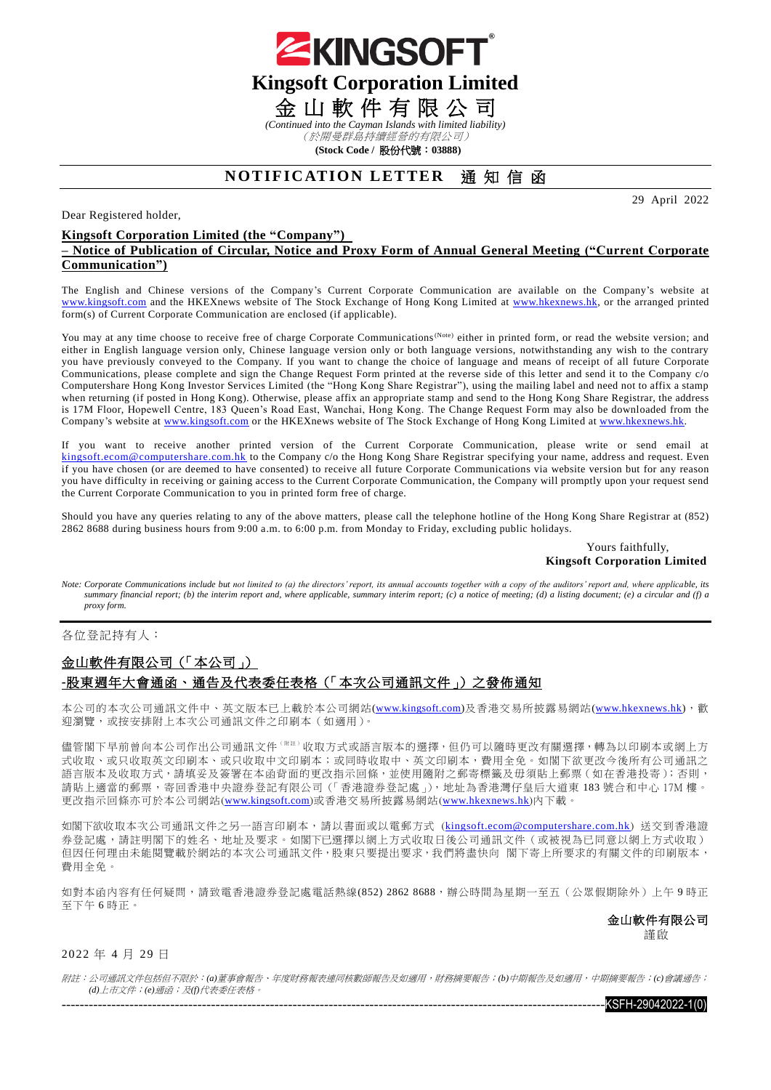

(於開曼群島持續經營的有限公司)

**(Stock Code /** 股份代號:**03888)**

# **NOTIFICATION LETTER** 通知信函

29 April 2022

#### Dear Registered holder,

### **Kingsoft Corporation Limited (the "Company") – Notice of Publication of Circular, Notice and Proxy Form of Annual General Meeting ("Current Corporate Communication")**

The English and Chinese versions of the Company's Current Corporate Communication are available on the Company's website at [www.kingsoft.com](http://www.kingsoft.com/) and the HKEXnews website of The Stock Exchange of Hong Kong Limited at [www.hkexnews.hk,](http://www.hkexnews.hk/) or the arranged printed form(s) of Current Corporate Communication are enclosed (if applicable).

You may at any time choose to receive free of charge Corporate Communications<sup>(Note)</sup> either in printed form, or read the website version; and either in English language version only, Chinese language version only or both language versions, notwithstanding any wish to the contrary you have previously conveyed to the Company. If you want to change the choice of language and means of receipt of all future Corporate Communications, please complete and sign the Change Request Form printed at the reverse side of this letter and send it to the Company c/o Computershare Hong Kong Investor Services Limited (the "Hong Kong Share Registrar"), using the mailing label and need not to affix a stamp when returning (if posted in Hong Kong). Otherwise, please affix an appropriate stamp and send to the Hong Kong Share Registrar, the address is 17M Floor, Hopewell Centre, 183 Queen's Road East, Wanchai, Hong Kong. The Change Request Form may also be downloaded from the Company's website at [www.kingsoft.com](http://www.kingsoft.com/) or the HKEXnews website of The Stock Exchange of Hong Kong Limited at [www.hkexnews.hk.](http://www.hkexnews.hk/)

If you want to receive another printed version of the Current Corporate Communication, please write or send email at [kingsoft.ecom@computershare.com.hk](mailto:kingsoft.ecom@computershare.com.hk) to the Company c/o the Hong Kong Share Registrar specifying your name, address and request. Even if you have chosen (or are deemed to have consented) to receive all future Corporate Communications via website version but for any reason you have difficulty in receiving or gaining access to the Current Corporate Communication, the Company will promptly upon your request send the Current Corporate Communication to you in printed form free of charge.

Should you have any queries relating to any of the above matters, please call the telephone hotline of the Hong Kong Share Registrar at (852) 2862 8688 during business hours from 9:00 a.m. to 6:00 p.m. from Monday to Friday, excluding public holidays.

#### Yours faithfully, **Kingsoft Corporation Limited**

*Note: Corporate Communications include but not limited to (a) the directors' report, its annual accounts together with a copy of the auditors' report and, where applicable, its*  summary financial report; (b) the interim report and, where applicable, summary interim report; (c) a notice of meeting; (d) a listing document; (e) a circular and (f) a *proxy form.*

各位登記持有人:

## 金山軟件有限公司(「本公司」) **-**股東週年大會通函、通告及代表委任表格(「本次公司通訊文件」)之發佈通知

本公司的本次公司通訊文件中、英文版本已上載於本公司網站[\(www.kingsoft.com\)](http://www.kingsoft.com/)及香港交易所披露易網站[\(www.hkexnews.hk\)](http://www.hkexnews.hk/index_c.htm),截 迎瀏覽,或按安排附上本次公司通訊文件之印刷本(如適用)。

儘管閣下早前曾向本公司作出公司通訊文件(  $^{\text{RF}}$  ) 收取方式或語言版本的選擇, 但仍可以隨時更改有關選擇, 轉為以印刷本或網上方 式收取、或只收取本、或只收取中文印刷本;或同時收取中、英文印刷本,費用全免。如閣下欲更改今後所有公司通訊之 語言版本及收取方式, 請填妥及簽署在本函背面的更改指示回條, 並使用隨附之郵寄標籤及毋須貼上郵票(如在香港投寄); 否則, 請貼上適當的郵票,寄回香港中央證券登記有限公司(「香港證券登記處」),地址為香港灣仔皇后大道東 183 號合和中心 17M 樓。 更改指示回條亦可於本公司網站([www.kingsoft.com](http://www.kingsoft.com/))或香港交易所披露易網站([www.hkexnews.hk](http://www.hkexnews.hk/index_c.htm))內下載。

如閣下欲收取本次公司通訊文件之另一語言印刷本,請以書面或以電郵方式 ([kingsoft.ecom@computershare.com.hk](mailto:kingsoft.ecom@computershare.com.hk)) 送交到香港證 券登記處,請註明閣下的姓名、地址及要求。如閣下已選擇以網上方式收取日後公司通訊文件(或被視為已同意以網上方式收取) 但因任何理由未能閱覽載於網站的本次公司通訊文件,股東只要提出要求,我們將盡快向 閣下寄上所要求的有關文件的印刷版本, 費用全免。

如對本函內容有任何疑問,請致電香港證券登記處電話熱線(852) 2862 8688,辦公時間為星期一至五(公眾假期除外)上午 9 時正 至下午 6 時正。

金山軟件有限公司

謹啟

## 2022 年 4 月 29 日

附註:公司通訊文件包括但不限於:*(a)*董事會報告、年度財務報表連同核數師報告及如適用,財務摘要報告;*(b)*中期報告及如適用,中期摘要報告;*(c)*會議通告; *(d)*上市文件;*(e)*通函;及*(f)*代表委任表格。

 $-$ KSFH-29042022-1(0)